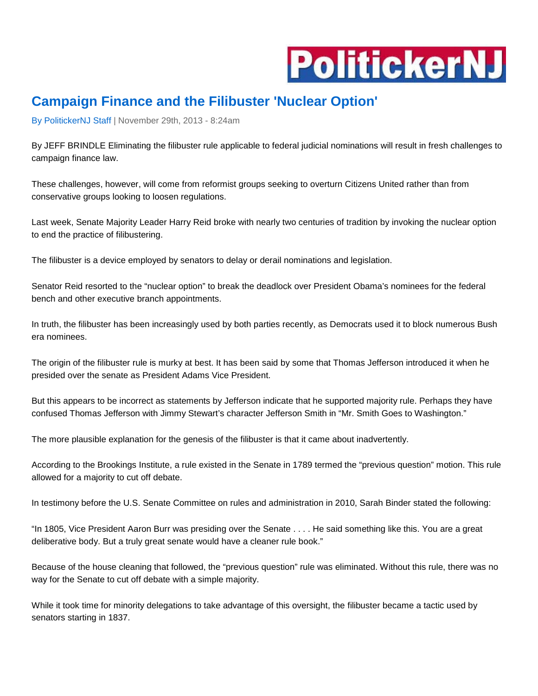

## **Campaign Finance and the Filibuster 'Nuclear Option'**

By [PolitickerNJ](http://www.politickernj.com/author/Politicker%20Staff) Staff | November 29th, 2013 - 8:24am

By JEFF BRINDLE Eliminating the filibuster rule applicable to federal judicial nominations will result in fresh challenges to campaign finance law.

These challenges, however, will come from reformist groups seeking to overturn Citizens United rather than from conservative groups looking to loosen regulations.

Last week, Senate Majority Leader Harry Reid broke with nearly two centuries of tradition by invoking the nuclear option to end the practice of filibustering.

The filibuster is a device employed by senators to delay or derail nominations and legislation.

Senator Reid resorted to the "nuclear option" to break the deadlock over President Obama's nominees for the federal bench and other executive branch appointments.

In truth, the filibuster has been increasingly used by both parties recently, as Democrats used it to block numerous Bush era nominees.

The origin of the filibuster rule is murky at best. It has been said by some that Thomas Jefferson introduced it when he presided over the senate as President Adams Vice President.

But this appears to be incorrect as statements by Jefferson indicate that he supported majority rule. Perhaps they have confused Thomas Jefferson with Jimmy Stewart's character Jefferson Smith in "Mr. Smith Goes to Washington."

The more plausible explanation for the genesis of the filibuster is that it came about inadvertently.

According to the Brookings Institute, a rule existed in the Senate in 1789 termed the "previous question" motion. This rule allowed for a majority to cut off debate.

In testimony before the U.S. Senate Committee on rules and administration in 2010, Sarah Binder stated the following:

"In 1805, Vice President Aaron Burr was presiding over the Senate . . . . He said something like this. You are a great deliberative body. But a truly great senate would have a cleaner rule book."

Because of the house cleaning that followed, the "previous question" rule was eliminated. Without this rule, there was no way for the Senate to cut off debate with a simple majority.

While it took time for minority delegations to take advantage of this oversight, the filibuster became a tactic used by senators starting in 1837.